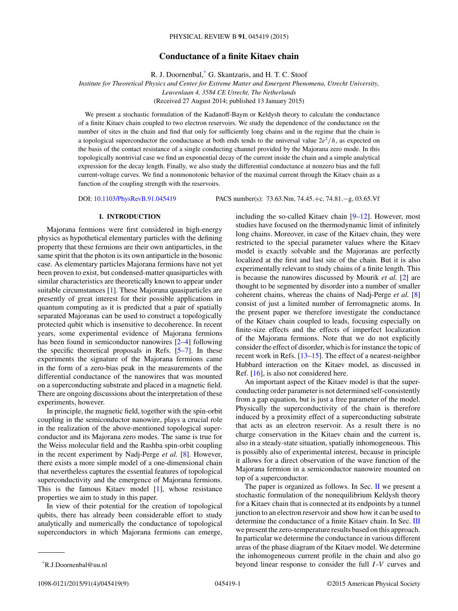# **Conductance of a finite Kitaev chain**

R. J. Doornenbal,\* G. Skantzaris, and H. T. C. Stoof

*Institute for Theoretical Physics and Center for Extreme Matter and Emergent Phenomena, Utrecht University,*

*Leuvenlaan 4, 3584 CE Utrecht, The Netherlands*

(Received 27 August 2014; published 13 January 2015)

We present a stochastic formulation of the Kadanoff-Baym or Keldysh theory to calculate the conductance of a finite Kitaev chain coupled to two electron reservoirs. We study the dependence of the conductance on the number of sites in the chain and find that only for sufficiently long chains and in the regime that the chain is a topological superconductor the conductance at both ends tends to the universal value  $2e^2/h$ , as expected on the basis of the contact resistance of a single conducting channel provided by the Majorana zero mode. In this topologically nontrivial case we find an exponential decay of the current inside the chain and a simple analytical expression for the decay length. Finally, we also study the differential conductance at nonzero bias and the full current-voltage curves. We find a nonmonotonic behavior of the maximal current through the Kitaev chain as a function of the coupling strength with the reservoirs.

DOI: [10.1103/PhysRevB.91.045419](http://dx.doi.org/10.1103/PhysRevB.91.045419) PACS number(s): 73*.*63*.*Nm*,* 74*.*45*.*+c*,* 74*.*81*.*−g*,* 03*.*65*.*Vf

# **I. INTRODUCTION**

Majorana fermions were first considered in high-energy physics as hypothetical elementary particles with the defining property that these fermions are their own antiparticles, in the same spirit that the photon is its own antiparticle in the bosonic case. As elementary particles Majorana fermions have not yet been proven to exist, but condensed-matter quasiparticles with similar characteristics are theoretically known to appear under suitable circumstances [\[1\]](#page-8-0). These Majorana quasiparticles are presently of great interest for their possible applications in quantum computing as it is predicted that a pair of spatially separated Majoranas can be used to construct a topologically protected qubit which is insensitive to decoherence. In recent years, some experimental evidence of Majorana fermions has been found in semiconductor nanowires [\[2–4\]](#page-8-0) following the specific theoretical proposals in Refs. [\[5–7\]](#page-8-0). In these experiments the signature of the Majorana fermions came in the form of a zero-bias peak in the measurements of the differential conductance of the nanowires that was mounted on a superconducting substrate and placed in a magnetic field. There are ongoing discussions about the interpretation of these experiments, however.

In principle, the magnetic field, together with the spin-orbit coupling in the semiconductor nanowire, plays a crucial role in the realization of the above-mentioned topological superconductor and its Majorana zero modes. The same is true for the Weiss molecular field and the Rashba spin-orbit coupling in the recent experiment by Nadj-Perge *et al.* [\[8\]](#page-8-0). However, there exists a more simple model of a one-dimensional chain that nevertheless captures the essential features of topological superconductivity and the emergence of Majorana fermions. This is the famous Kitaev model [\[1\]](#page-8-0), whose resistance properties we aim to study in this paper.

In view of their potential for the creation of topological qubits, there has already been considerable effort to study analytically and numerically the conductance of topological superconductors in which Majorana fermions can emerge, including the so-called Kitaev chain [\[9–12\]](#page-8-0). However, most studies have focused on the thermodynamic limit of infinitely long chains. Moreover, in case of the Kitaev chain, they were restricted to the special parameter values where the Kitaev model is exactly solvable and the Majoranas are perfectly localized at the first and last site of the chain. But it is also experimentally relevant to study chains of a finite length. This is because the nanowires discussed by Mourik *et al.* [\[2\]](#page-8-0) are thought to be segmented by disorder into a number of smaller coherent chains, whereas the chains of Nadj-Perge *et al.* [\[8\]](#page-8-0) consist of just a limited number of ferromagnetic atoms. In the present paper we therefore investigate the conductance of the Kitaev chain coupled to leads, focusing especially on finite-size effects and the effects of imperfect localization of the Majorana fermions. Note that we do not explicitly consider the effect of disorder, which is for instance the topic of recent work in Refs. [\[13–15\]](#page-8-0). The effect of a nearest-neighbor Hubbard interaction on the Kitaev model, as discussed in Ref. [\[16\]](#page-8-0), is also not considered here.

An important aspect of the Kitaev model is that the superconducting order parameter is not determined self-consistently from a gap equation, but is just a free parameter of the model. Physically the superconductivity of the chain is therefore induced by a proximity effect of a superconducting substrate that acts as an electron reservoir. As a result there is no charge conservation in the Kitaev chain and the current is, also in a steady-state situation, spatially inhomogeneous. This is possibly also of experimental interest, because in principle it allows for a direct observation of the wave function of the Majorana fermion in a semiconductor nanowire mounted on top of a superconductor.

The paper is organized as follows. In Sec. [II](#page-1-0) we present a stochastic formulation of the nonequilibrium Keldysh theory for a Kitaev chain that is connected at its endpoints by a tunnel junction to an electron reservoir and show how it can be used to determine the conductance of a finite Kitaev chain. In Sec. [III](#page-4-0) we present the zero-temperature results based on this approach. In particular we determine the conductance in various different areas of the phase diagram of the Kitaev model. We determine the inhomogeneous current profile in the chain and also go beyond linear response to consider the full *I* -*V* curves and

<sup>\*</sup>R.J.Doornenbal@uu.nl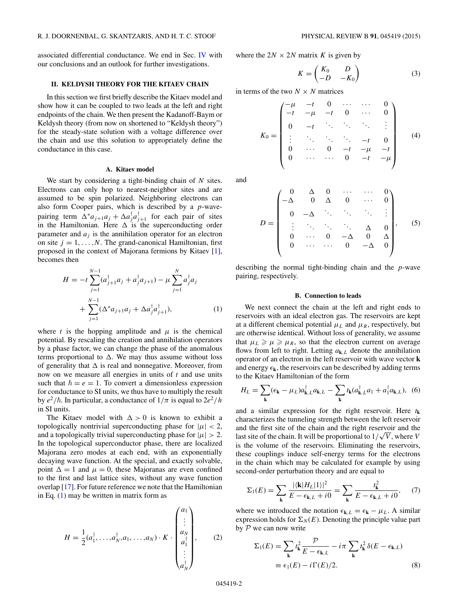<span id="page-1-0"></span>associated differential conductance. We end in Sec. [IV](#page-8-0) with our conclusions and an outlook for further investigations.

## **II. KELDYSH THEORY FOR THE KITAEV CHAIN**

In this section we first briefly describe the Kitaev model and show how it can be coupled to two leads at the left and right endpoints of the chain. We then present the Kadanoff-Baym or Keldysh theory (from now on shortened to "Keldysh theory") for the steady-state solution with a voltage difference over the chain and use this solution to appropriately define the conductance in this case.

# **A. Kitaev model**

We start by considering a tight-binding chain of *N* sites. Electrons can only hop to nearest-neighbor sites and are assumed to be spin polarized. Neighboring electrons can also form Cooper pairs, which is described by a *p*-wavepairing term  $\Delta^* a_{j+1} a_j + \Delta a_j^{\dagger} a_{j+1}^{\dagger}$  for each pair of sites in the Hamiltonian. Here  $\Delta$  is the superconducting order parameter and  $a_j$  is the annihilation operator for an electron on site  $j = 1, \ldots, N$ . The grand-canonical Hamiltonian, first proposed in the context of Majorana fermions by Kitaev [\[1\]](#page-8-0), becomes then

$$
H = -t \sum_{j=1}^{N-1} (a_{j+1}^{\dagger} a_j + a_j^{\dagger} a_{j+1}) - \mu \sum_{j=1}^{N} a_j^{\dagger} a_j + \sum_{j=1}^{N-1} (\Delta^* a_{j+1} a_j + \Delta a_j^{\dagger} a_{j+1}^{\dagger}),
$$
 (1)

where *t* is the hopping amplitude and  $\mu$  is the chemical potential. By rescaling the creation and annihilation operators by a phase factor, we can change the phase of the anomalous terms proportional to  $\Delta$ . We may thus assume without loss of generality that  $\Delta$  is real and nonnegative. Moreover, from now on we measure all energies in units of *t* and use units such that  $\hbar = e = 1$ . To convert a dimensionless expression for conductance to SI units, we thus have to multiply the result by  $e^2/\hbar$ . In particular, a conductance of  $1/\pi$  is equal to  $2e^2/h$ in SI units.

The Kitaev model with  $\Delta > 0$  is known to exhibit a topologically nontrivial superconducting phase for  $|\mu| < 2$ , and a topologically trivial superconducting phase for  $|\mu| > 2$ . In the topological superconductor phase, there are localized Majorana zero modes at each end, with an exponentially decaying wave function. At the special, and exactly solvable, point  $\Delta = 1$  and  $\mu = 0$ , these Majoranas are even confined to the first and last lattice sites, without any wave function overlap [\[17\]](#page-8-0). For future reference we note that the Hamiltonian in Eq. (1) may be written in matrix form as

$$
H = \frac{1}{2}(a_1^{\dagger}, \dots, a_N^{\dagger}, a_1, \dots, a_N) \cdot K \cdot \begin{pmatrix} a_1 \\ \vdots \\ a_N \\ a_1^{\dagger} \\ \vdots \\ a_N^{\dagger} \end{pmatrix}, \qquad (2)
$$

where the  $2N \times 2N$  matrix *K* is given by

$$
K = \begin{pmatrix} K_0 & D \\ -D & -K_0 \end{pmatrix} \tag{3}
$$

in terms of the two  $N \times N$  matrices

$$
K_0 = \begin{pmatrix} -\mu & -t & 0 & \cdots & \cdots & 0 \\ -t & -\mu & -t & 0 & \cdots & 0 \\ 0 & -t & \ddots & \ddots & \ddots & \vdots \\ \vdots & \ddots & \ddots & \ddots & -t & 0 \\ 0 & \cdots & 0 & -t & -\mu & -t \\ 0 & \cdots & \cdots & 0 & -t & -\mu \end{pmatrix}
$$
 (4)

and

$$
D = \begin{pmatrix} 0 & \Delta & 0 & \cdots & \cdots & 0 \\ -\Delta & 0 & \Delta & 0 & \cdots & 0 \\ 0 & -\Delta & \ddots & \ddots & \ddots & \vdots \\ \vdots & \ddots & \ddots & \ddots & \Delta & 0 \\ 0 & \cdots & 0 & -\Delta & 0 & \Delta \\ 0 & \cdots & \cdots & 0 & -\Delta & 0 \end{pmatrix}, \quad (5)
$$

describing the normal tight-binding chain and the *p*-wave pairing, respectively.

# **B. Connection to leads**

We next connect the chain at the left and right ends to reservoirs with an ideal electron gas. The reservoirs are kept at a different chemical potential  $\mu_L$  and  $\mu_R$ , respectively, but are otherwise identical. Without loss of generality, we assume that  $\mu_L \ge \mu \ge \mu_R$ , so that the electron current on average flows from left to right. Letting  $a_{k,L}$  denote the annihilation operator of an electron in the left reservoir with wave vector **k** and energy  $\epsilon_k$ , the reservoirs can be described by adding terms to the Kitaev Hamiltonian of the form

$$
H_L = \sum_{\mathbf{k}} (\epsilon_{\mathbf{k}} - \mu_L) a_{\mathbf{k},L}^\dagger a_{\mathbf{k},L} - \sum_{\mathbf{k}} t_{\mathbf{k}} (a_{\mathbf{k},L}^\dagger a_1 + a_1^\dagger a_{\mathbf{k},L}), \tag{6}
$$

and a similar expression for the right reservoir. Here  $t_k$ characterizes the tunneling strength between the left reservoir and the first site of the chain and the right reservoir and the and the first site of the chain and the right reservoir and the last site of the chain. It will be proportional to  $1/\sqrt{V}$ , where *V* is the volume of the reservoirs. Eliminating the reservoirs, these couplings induce self-energy terms for the electrons in the chain which may be calculated for example by using second-order perturbation theory and are equal to

$$
\Sigma_1(E) = \sum_{\mathbf{k}} \frac{|\langle \mathbf{k} | H_L | 1 \rangle|^2}{E - \epsilon_{\mathbf{k},L} + i0} = \sum_{\mathbf{k}} \frac{t_{\mathbf{k}}^2}{E - \epsilon_{\mathbf{k},L} + i0}, \quad (7)
$$

where we introduced the notation  $\epsilon_{k,L} = \epsilon_k - \mu_L$ . A similar expression holds for  $\Sigma_N(E)$ . Denoting the principle value part by  $P$  we can now write

$$
\Sigma_1(E) = \sum_{\mathbf{k}} t_{\mathbf{k}}^2 \frac{\mathcal{P}}{E - \epsilon_{\mathbf{k},L}} - i\pi \sum_{\mathbf{k}} t_{\mathbf{k}}^2 \delta(E - \epsilon_{\mathbf{k},L})
$$
  

$$
\equiv \epsilon_1(E) - i\Gamma(E)/2.
$$
 (8)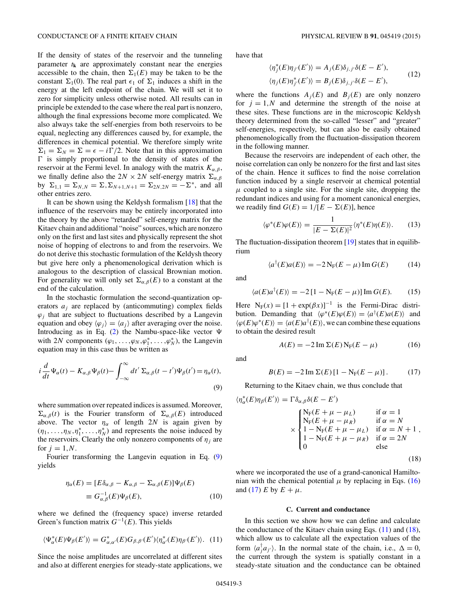<span id="page-2-0"></span>If the density of states of the reservoir and the tunneling parameter  $t_k$  are approximately constant near the energies accessible to the chain, then  $\Sigma_1(E)$  may be taken to be the constant  $\Sigma_1(0)$ . The real part  $\epsilon_1$  of  $\Sigma_1$  induces a shift in the energy at the left endpoint of the chain. We will set it to zero for simplicity unless otherwise noted. All results can in principle be extended to the case where the real part is nonzero, although the final expressions become more complicated. We also always take the self-energies from both reservoirs to be equal, neglecting any differences caused by, for example, the differences in chemical potential. We therefore simply write  $\Sigma_1 = \Sigma_N = \Sigma = \epsilon - i\Gamma/2$ . Note that in this approximation  $\Gamma$  is simply proportional to the density of states of the reservoir at the Fermi level. In analogy with the matrix  $K_{\alpha,\beta}$ , we finally define also the  $2N \times 2N$  self-energy matrix  $\Sigma_{\alpha,\beta}$ by Σ<sub>1,1</sub> = Σ<sub>N,N</sub> = Σ, Σ<sub>N+1,N+1</sub> = Σ<sub>2N,2N</sub> = −Σ<sup>\*</sup>, and all other entries zero.

It can be shown using the Keldysh formalism [\[18\]](#page-8-0) that the influence of the reservoirs may be entirely incorporated into the theory by the above "retarded" self-energy matrix for the Kitaev chain and additional "noise" sources, which are nonzero only on the first and last sites and physically represent the shot noise of hopping of electrons to and from the reservoirs. We do not derive this stochastic formulation of the Keldysh theory but give here only a phenomenological derivation which is analogous to the description of classical Brownian motion. For generality we will only set  $\Sigma_{\alpha,\beta}(E)$  to a constant at the end of the calculation.

In the stochastic formulation the second-quantization operators *aj* are replaced by (anticommuting) complex fields  $\varphi_i$  that are subject to fluctuations described by a Langevin equation and obey  $\langle \varphi_i \rangle = \langle a_i \rangle$  after averaging over the noise. Introducing as in Eq. [\(2\)](#page-1-0) the Nambu-space-like vector  $\Psi$ with 2*N* components  $(\varphi_1, \ldots, \varphi_N, \varphi_1^*, \ldots, \varphi_N^*)$ , the Langevin equation may in this case thus be written as

$$
i\frac{d}{dt}\Psi_{\alpha}(t) - K_{\alpha,\beta}\Psi_{\beta}(t) - \int_{-\infty}^{\infty} dt' \Sigma_{\alpha,\beta}(t - t')\Psi_{\beta}(t') = \eta_{\alpha}(t),
$$
\n(9)

where summation over repeated indices is assumed. Moreover,  $\Sigma_{\alpha,\beta}(t)$  is the Fourier transform of  $\Sigma_{\alpha,\beta}(E)$  introduced above. The vector  $\eta_{\alpha}$  of length 2*N* is again given by  $(\eta_1, \ldots, \eta_N, \eta_1^*, \ldots, \eta_N^*)$  and represents the noise induced by the reservoirs. Clearly the only nonzero components of  $\eta_i$  are for  $j = 1, N$ .

Fourier transforming the Langevin equation in Eq. (9) yields

$$
\eta_{\alpha}(E) = [E\delta_{\alpha,\beta} - K_{\alpha,\beta} - \Sigma_{\alpha,\beta}(E)]\Psi_{\beta}(E)
$$
  
\n
$$
\equiv G_{\alpha,\beta}^{-1}(E)\Psi_{\beta}(E), \tag{10}
$$

where we defined the (frequency space) inverse retarded Green's function matrix *G*<sup>−</sup>1(*E*). This yields

$$
\langle \Psi_{\alpha}^*(E)\Psi_{\beta}(E')\rangle = G_{\alpha,\alpha'}^*(E)G_{\beta,\beta'}(E')\langle \eta_{\alpha'}^*(E)\eta_{\beta'}(E')\rangle. \tag{11}
$$

Since the noise amplitudes are uncorrelated at different sites and also at different energies for steady-state applications, we have that

$$
\langle \eta_j^*(E)\eta_{j'}(E')\rangle = A_j(E)\delta_{j,j'}\delta(E - E'),
$$
  

$$
\langle \eta_j(E)\eta_{j'}^*(E')\rangle = B_j(E)\delta_{j,j'}\delta(E - E'),
$$
 (12)

where the functions  $A_i(E)$  and  $B_i(E)$  are only nonzero for  $j = 1, N$  and determine the strength of the noise at these sites. These functions are in the microscopic Keldysh theory determined from the so-called "lesser" and "greater" self-energies, respectively, but can also be easily obtained phenomenologically from the fluctuation-dissipation theorem in the following manner.

Because the reservoirs are independent of each other, the noise correlation can only be nonzero for the first and last sites of the chain. Hence it suffices to find the noise correlation function induced by a single reservoir at chemical potential  $\mu$  coupled to a single site. For the single site, dropping the redundant indices and using for a moment canonical energies, we readily find  $G(E) = 1/[E - \Sigma(E)]$ , hence

$$
\langle \varphi^*(E)\varphi(E)\rangle = \frac{1}{|E - \Sigma(E)|^2} \langle \eta^*(E)\eta(E)\rangle. \tag{13}
$$

The fluctuation-dissipation theorem [\[19\]](#page-8-0) states that in equilibrium

$$
\langle a^{\dagger}(E)a(E)\rangle = -2\operatorname{N}_{\mathcal{F}}(E-\mu)\operatorname{Im} G(E) \tag{14}
$$

and

$$
\langle a(E)a^{\dagger}(E)\rangle = -2\left[1 - \mathcal{N}_{\mathcal{F}}(E - \mu)\right] \operatorname{Im} G(E). \tag{15}
$$

Here  $N_F(x) = [1 + \exp(\beta x)]^{-1}$  is the Fermi-Dirac distribution. Demanding that  $\langle \varphi^*(E) \varphi(E) \rangle = \langle a^{\dagger}(E) a(E) \rangle$  and  $\langle \varphi(E) \varphi^*(E) \rangle = \langle a(E) a^{\dagger}(E) \rangle$ , we can combine these equations to obtain the desired result

$$
A(E) = -2 \operatorname{Im} \Sigma(E) N_{\mathrm{F}}(E - \mu) \tag{16}
$$

and

$$
B(E) = -2 \operatorname{Im} \Sigma(E) [1 - N_{F}(E - \mu)]. \tag{17}
$$

Returning to the Kitaev chain, we thus conclude that

$$
\langle \eta_{\alpha}^{*}(E)\eta_{\beta}(E')\rangle = \Gamma \delta_{\alpha,\beta}\delta(E - E')
$$
  
\n
$$
\times \begin{cases}\nN_{F}(E + \mu - \mu_{L}) & \text{if } \alpha = 1 \\
N_{F}(E + \mu - \mu_{R}) & \text{if } \alpha = N \\
1 - N_{F}(E + \mu - \mu_{L}) & \text{if } \alpha = N + 1 \\
1 - N_{F}(E + \mu - \mu_{R}) & \text{if } \alpha = 2N \\
0 & \text{else}\n\end{cases}
$$
\n(18)

 $\mathbf{r}$ 

where we incorporated the use of a grand-canonical Hamiltonian with the chemical potential  $\mu$  by replacing in Eqs. (16) and (17) *E* by  $E + \mu$ .

### **C. Current and conductance**

In this section we show how we can define and calculate the conductance of the Kitaev chain using Eqs.  $(11)$  and  $(18)$ , which allow us to calculate all the expectation values of the form  $\langle a_j^\dagger a_{j'} \rangle$ . In the normal state of the chain, i.e.,  $\Delta = 0$ , the current through the system is spatially constant in a steady-state situation and the conductance can be obtained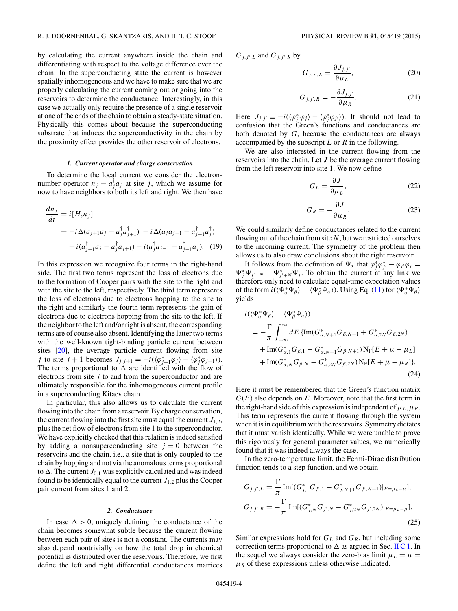by calculating the current anywhere inside the chain and differentiating with respect to the voltage difference over the chain. In the superconducting state the current is however spatially inhomogeneous and we have to make sure that we are properly calculating the current coming out or going into the reservoirs to determine the conductance. Interestingly, in this case we actually only require the presence of a single reservoir at one of the ends of the chain to obtain a steady-state situation. Physically this comes about because the superconducting substrate that induces the superconductivity in the chain by the proximity effect provides the other reservoir of electrons.

#### *1. Current operator and charge conservation*

To determine the local current we consider the electronnumber operator  $n_j = a_j^{\dagger} a_j$  at site *j*, which we assume for now to have neighbors to both its left and right. We then have

$$
\frac{dn_j}{dt} = i[H, n_j]
$$
  
=  $-i\Delta(a_{j+1}a_j - a_j^{\dagger}a_{j+1}^{\dagger}) - i\Delta(a_ja_{j-1} - a_{j-1}^{\dagger}a_j^{\dagger})$   
+  $i(a_{j+1}^{\dagger}a_j - a_j^{\dagger}a_{j+1}) - i(a_j^{\dagger}a_{j-1} - a_{j-1}^{\dagger}a_j).$  (19)

In this expression we recognize four terms in the right-hand side. The first two terms represent the loss of electrons due to the formation of Cooper pairs with the site to the right and with the site to the left, respectively. The third term represents the loss of electrons due to electrons hopping to the site to the right and similarly the fourth term represents the gain of electrons due to electrons hopping from the site to the left. If the neighbor to the left and/or right is absent, the corresponding terms are of course also absent. Identifying the latter two terms with the well-known tight-binding particle current between sites [\[20\]](#page-8-0), the average particle current flowing from site *j* to site *j* + 1 becomes  $J_{j,j+1} = -i(\langle \varphi_{j+1}^* \varphi_j \rangle - \langle \varphi_j^* \varphi_{j+1} \rangle)$ . The terms proportional to  $\Delta$  are identified with the flow of electrons from site *j* to and from the superconductor and are ultimately responsible for the inhomogeneous current profile in a superconducting Kitaev chain.

In particular, this also allows us to calculate the current flowing into the chain from a reservoir. By charge conservation, the current flowing into the first site must equal the current  $J_{1,2}$ , plus the net flow of electrons from site 1 to the superconductor. We have explicitly checked that this relation is indeed satisfied by adding a nonsuperconducting site  $j = 0$  between the reservoirs and the chain, i.e., a site that is only coupled to the chain by hopping and not via the anomalous terms proportional to  $\Delta$ . The current  $J_{0,1}$  was explicitly calculated and was indeed found to be identically equal to the current  $J_{1,2}$  plus the Cooper pair current from sites 1 and 2.

#### *2. Conductance*

In case  $\Delta > 0$ , uniquely defining the conductance of the chain becomes somewhat subtle because the current flowing between each pair of sites is not a constant. The currents may also depend nontrivially on how the total drop in chemical potential is distributed over the reservoirs. Therefore, we first define the left and right differential conductances matrices

 $G_{j,j',L}$  and  $G_{j,j',R}$  by

$$
G_{j,j',L} = \frac{\partial J_{j,j'}}{\partial \mu_L},\tag{20}
$$

$$
G_{j,j',R} = -\frac{\partial J_{j,j'}}{\partial \mu_R}.
$$
 (21)

Here  $J_{j,j'} \equiv -i(\langle \varphi_j^* \varphi_j \rangle - \langle \varphi_j^* \varphi_{j'} \rangle)$ . It should not lead to confusion that the Green's functions and conductances are both denoted by *G*, because the conductances are always accompanied by the subscript *L* or *R* in the following.

We are also interested in the current flowing from the reservoirs into the chain. Let *J* be the average current flowing from the left reservoir into site 1. We now define

$$
G_L = \frac{\partial J}{\partial \mu_L},\tag{22}
$$

$$
G_R = -\frac{\partial J}{\partial \mu_R}.\tag{23}
$$

We could similarly define conductances related to the current flowing out of the chain from site *N*, but we restricted ourselves to the incoming current. The symmetry of the problem then allows us to also draw conclusions about the right reservoir.

It follows from the definition of  $\Psi_{\alpha}$  that  $\varphi_j^* \varphi_{j'}^* - \varphi_{j'} \varphi_j =$  $\Psi_j^* \Psi_{j'+N} - \Psi_{j'+N}^* \Psi_j$ . To obtain the current at any link we therefore only need to calculate equal-time expectation values of the form  $i(\langle \Psi_{\alpha}^* \Psi_{\beta} \rangle - \langle \Psi_{\beta}^* \Psi_{\alpha} \rangle)$ . Using Eq. [\(11\)](#page-2-0) for  $\langle \Psi_{\alpha}^* \Psi_{\beta} \rangle$ yields

$$
i(\langle \Psi_{\alpha}^{*} \Psi_{\beta} \rangle - \langle \Psi_{\beta}^{*} \Psi_{\alpha} \rangle)
$$
  
=  $-\frac{\Gamma}{\pi} \int_{-\infty}^{\infty} dE \{ \text{Im}(G_{\alpha,N+1}^{*} G_{\beta,N+1} + G_{\alpha,2N}^{*} G_{\beta,2N})$   
+  $\text{Im}(G_{\alpha,1}^{*} G_{\beta,1} - G_{\alpha,N+1}^{*} G_{\beta,N+1}) N_{F}[E + \mu - \mu_{L}]$   
+  $\text{Im}(G_{\alpha,N}^{*} G_{\beta,N} - G_{\alpha,2N}^{*} G_{\beta,2N}) N_{F}[E + \mu - \mu_{R}]\}.$  (24)

Here it must be remembered that the Green's function matrix *G*(*E*) also depends on *E*. Moreover, note that the first term in the right-hand side of this expression is independent of  $\mu_L, \mu_R$ . This term represents the current flowing through the system when it is in equilibrium with the reservoirs. Symmetry dictates that it must vanish identically. While we were unable to prove this rigorously for general parameter values, we numerically found that it was indeed always the case.

In the zero-temperature limit, the Fermi-Dirac distribution function tends to a step function, and we obtain

$$
G_{j,j',L} = \frac{\Gamma}{\pi} \operatorname{Im}[(G_{j,1}^* G_{j',1} - G_{j,N+1}^* G_{j',N+1})|_{E=\mu_L-\mu}],
$$
  
\n
$$
G_{j,j',R} = -\frac{\Gamma}{\pi} \operatorname{Im}[(G_{j,N}^* G_{j',N} - G_{j,2N}^* G_{j',2N})|_{E=\mu_R-\mu}].
$$
\n(25)

Similar expressions hold for  $G_L$  and  $G_R$ , but including some correction terms proportional to  $\Delta$  as argued in Sec. II C 1. In the sequel we always consider the zero-bias limit  $\mu_L = \mu$  $\mu_R$  of these expressions unless otherwise indicated.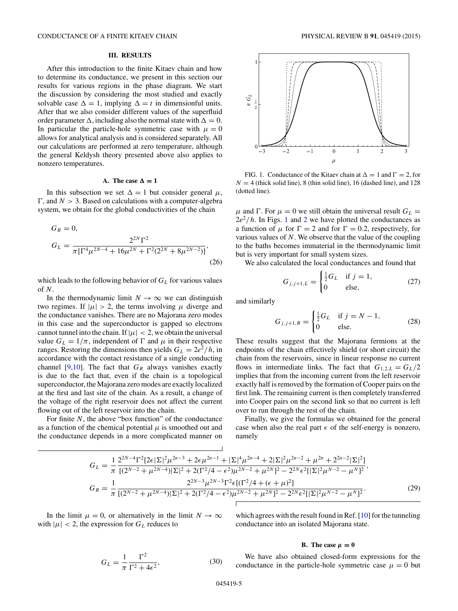### **III. RESULTS**

<span id="page-4-0"></span>After this introduction to the finite Kitaev chain and how to determine its conductance, we present in this section our results for various regions in the phase diagram. We start the discussion by considering the most studied and exactly solvable case  $\Delta = 1$ , implying  $\Delta = t$  in dimensionful units. After that we also consider different values of the superfluid order parameter  $\Delta$ , including also the normal state with  $\Delta = 0$ . In particular the particle-hole symmetric case with  $\mu = 0$ allows for analytical analysis and is considered separately. All our calculations are performed at zero temperature, although the general Keldysh theory presented above also applies to nonzero temperatures.

# A. The case  $\Delta = 1$

In this subsection we set  $\Delta = 1$  but consider general  $\mu$ ,  $\Gamma$ , and  $N > 3$ . Based on calculations with a computer-algebra system, we obtain for the global conductivities of the chain

$$
G_R = 0,
$$
  
\n
$$
G_L = \frac{2^{2N} \Gamma^2}{\pi \left[\Gamma^4 \mu^{2N-4} + 16\mu^{2N} + \Gamma^2 (2^{2N} + 8\mu^{2N-2})\right]},
$$
\n(26)

which leads to the following behavior of  $G_L$  for various values of *N*.

In the thermodynamic limit  $N \to \infty$  we can distinguish two regimes. If  $|\mu| > 2$ , the terms involving  $\mu$  diverge and the conductance vanishes. There are no Majorana zero modes in this case and the superconductor is gapped so electrons cannot tunnel into the chain. If  $|\mu| < 2$ , we obtain the universal value  $G_L = 1/\pi$ , independent of  $\Gamma$  and  $\mu$  in their respective ranges. Restoring the dimensions then yields  $G_L = 2e^2/h$ , in accordance with the contact resistance of a single conducting channel [\[9,10\]](#page-8-0). The fact that  $G_R$  always vanishes exactly is due to the fact that, even if the chain is a topological superconductor, the Majorana zero modes are exactly localized at the first and last site of the chain. As a result, a change of the voltage of the right reservoir does not affect the current flowing out of the left reservoir into the chain.

For finite *N*, the above "box function" of the conductance as a function of the chemical potential  $\mu$  is smoothed out and the conductance depends in a more complicated manner on



FIG. 1. Conductance of the Kitaev chain at  $\Delta = 1$  and  $\Gamma = 2$ , for  $N = 4$  (thick solid line), 8 (thin solid line), 16 (dashed line), and 128 (dotted line).

*μ* and Γ. For  $μ = 0$  we still obtain the universal result  $G<sub>L</sub>$  =  $2e^2/h$  $2e^2/h$ . In Figs. 1 and 2 we have plotted the conductances as a function of  $\mu$  for  $\Gamma = 2$  and for  $\Gamma = 0.2$ , respectively, for various values of *N*. We observe that the value of the coupling to the baths becomes immaterial in the thermodynamic limit but is very important for small system sizes.

We also calculated the local conductances and found that

$$
G_{j,j+1,L} = \begin{cases} \frac{1}{2}G_L & \text{if } j = 1, \\ 0 & \text{else,} \end{cases}
$$
 (27)

and similarly

$$
G_{j,j+1,R} = \begin{cases} \frac{1}{2}G_L & \text{if } j = N - 1, \\ 0 & \text{else.} \end{cases}
$$
 (28)

These results suggest that the Majorana fermions at the endpoints of the chain effectively shield (or short circuit) the chain from the reservoirs, since in linear response no current flows in intermediate links. The fact that  $G_{1,2,L} = G_L/2$ implies that from the incoming current from the left reservoir exactly half is removed by the formation of Cooper pairs on the first link. The remaining current is then completely transferred into Cooper pairs on the second link so that no current is left over to run through the rest of the chain.

Finally, we give the formulas we obtained for the general case when also the real part  $\epsilon$  of the self-energy is nonzero, namely

$$
G_{L} = \frac{1}{\pi} \frac{2^{2N-4} \Gamma^{2} [2\epsilon | \Sigma|^{2} \mu^{2n-3} + 2\epsilon \mu^{2n-1} + |\Sigma|^{4} \mu^{2n-4} + 2 |\Sigma|^{2} \mu^{2n-2} + \mu^{2n} + 2^{2n-2} |\Sigma|^{2}]}{[(2^{N-2} + \mu^{2N-4}) |\Sigma|^{2} + 2(\Gamma^{2}/4 - \epsilon^{2}) \mu^{2N-2} + \mu^{2N}]^{2} - 2^{2N} \epsilon^{2} [|\Sigma|^{2} \mu^{N-2} - \mu^{N}]^{2}},
$$
  
\n
$$
G_{R} = \frac{1}{\pi} \frac{2^{2N-3} \mu^{2N-3} \Gamma^{2} \epsilon [(\Gamma^{2}/4 + (\epsilon + \mu)^{2}]}{[(2^{N-2} + \mu^{2N-4}) |\Sigma|^{2} + 2(\Gamma^{2}/4 - \epsilon^{2}) \mu^{2N-2} + \mu^{2N}]^{2} - 2^{2N} \epsilon^{2} [|\Sigma|^{2} \mu^{N-2} - \mu^{N}]^{2}}.
$$
\n(29)

In the limit  $\mu = 0$ , or alternatively in the limit  $N \to \infty$ with  $|\mu| < 2$ , the expression for  $G_L$  reduces to

which agrees with the result found in Ref. [\[10\]](#page-8-0) for the tunneling conductance into an isolated Majorana state.

#### **B.** The case  $\mu = 0$

$$
G_L = \frac{1}{\pi} \frac{\Gamma^2}{\Gamma^2 + 4\epsilon^2},\tag{30}
$$

We have also obtained closed-form expressions for the conductance in the particle-hole symmetric case  $\mu = 0$  but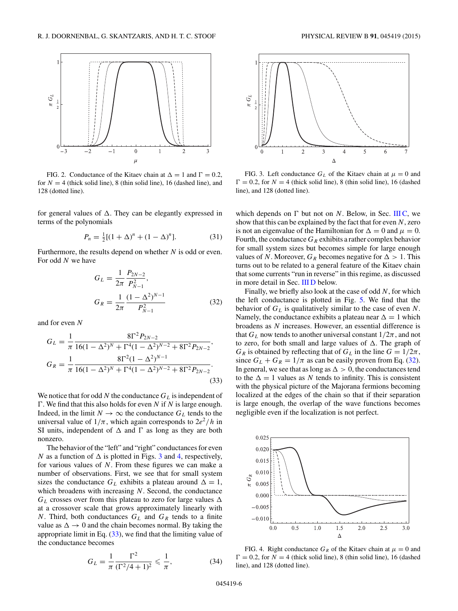<span id="page-5-0"></span>

FIG. 2. Conductance of the Kitaev chain at  $\Delta = 1$  and  $\Gamma = 0.2$ , for  $N = 4$  (thick solid line), 8 (thin solid line), 16 (dashed line), and 128 (dotted line).

for general values of  $\Delta$ . They can be elegantly expressed in terms of the polynomials

$$
P_n = \frac{1}{2}[(1 + \Delta)^n + (1 - \Delta)^n].
$$
 (31)

Furthermore, the results depend on whether *N* is odd or even. For odd *N* we have

$$
G_L = \frac{1}{2\pi} \frac{P_{2N-2}}{P_{N-1}^2},
$$
  
\n
$$
G_R = \frac{1}{2\pi} \frac{(1 - \Delta^2)^{N-1}}{P_{N-1}^2}
$$
\n(32)

and for even *N*

$$
G_L = \frac{1}{\pi} \frac{8\Gamma^2 P_{2N-2}}{16(1 - \Delta^2)^N + \Gamma^4 (1 - \Delta^2)^{N-2} + 8\Gamma^2 P_{2N-2}},
$$
  
\n
$$
G_R = \frac{1}{\pi} \frac{8\Gamma^2 (1 - \Delta^2)^{N-1}}{16(1 - \Delta^2)^N + \Gamma^4 (1 - \Delta^2)^{N-2} + 8\Gamma^2 P_{2N-2}}.
$$
\n(33)

We notice that for odd  $N$  the conductance  $G_L$  is independent of . We find that this also holds for even *N* if *N* is large enough. Indeed, in the limit  $N \to \infty$  the conductance  $G_L$  tends to the universal value of  $1/\pi$ , which again corresponds to  $2e^2/h$  in SI units, independent of  $\Delta$  and  $\Gamma$  as long as they are both nonzero.

The behavior of the "left" and "right" conductances for even *N* as a function of  $\Delta$  is plotted in Figs. 3 and 4, respectively, for various values of *N*. From these figures we can make a number of observations. First, we see that for small system sizes the conductance  $G_L$  exhibits a plateau around  $\Delta = 1$ , which broadens with increasing *N*. Second, the conductance  $G_L$  crosses over from this plateau to zero for large values  $\Delta$ at a crossover scale that grows approximately linearly with *N*. Third, both conductances  $G_L$  and  $G_R$  tends to a finite value as  $\Delta \rightarrow 0$  and the chain becomes normal. By taking the appropriate limit in Eq. (33), we find that the limiting value of the conductance becomes

$$
G_L = \frac{1}{\pi} \frac{\Gamma^2}{(\Gamma^2/4 + 1)^2} \leq \frac{1}{\pi},\tag{34}
$$



FIG. 3. Left conductance  $G_L$  of the Kitaev chain at  $\mu = 0$  and  $\Gamma = 0.2$ , for  $N = 4$  (thick solid line), 8 (thin solid line), 16 (dashed line), and 128 (dotted line).

which depends on  $\Gamma$  but not on *N*. Below, in Sec. [III C,](#page-6-0) we show that this can be explained by the fact that for even *N*, zero is not an eigenvalue of the Hamiltonian for  $\Delta = 0$  and  $\mu = 0$ . Fourth, the conductance  $G_R$  exhibits a rather complex behavior for small system sizes but becomes simple for large enough values of *N*. Moreover,  $G_R$  becomes negative for  $\Delta > 1$ . This turns out to be related to a general feature of the Kitaev chain that some currents "run in reverse" in this regime, as discussed in more detail in Sec. [III D](#page-7-0) below.

Finally, we briefly also look at the case of odd *N*, for which the left conductance is plotted in Fig. [5.](#page-6-0) We find that the behavior of *GL* is qualitatively similar to the case of even *N*. Namely, the conductance exhibits a plateau near  $\Delta = 1$  which broadens as *N* increases. However, an essential difference is that  $G_L$  now tends to another universal constant  $1/2\pi$ , and not to zero, for both small and large values of  $\Delta$ . The graph of *GR* is obtained by reflecting that of  $G_L$  in the line  $G = 1/2\pi$ , since  $G_L + G_R = 1/\pi$  as can be easily proven from Eq. (32). In general, we see that as long as  $\Delta > 0$ , the conductances tend to the  $\Delta = 1$  values as N tends to infinity. This is consistent with the physical picture of the Majorana fermions becoming localized at the edges of the chain so that if their separation is large enough, the overlap of the wave functions becomes negligible even if the localization is not perfect.



FIG. 4. Right conductance  $G_R$  of the Kitaev chain at  $\mu = 0$  and  $\Gamma = 0.2$ , for  $N = 4$  (thick solid line), 8 (thin solid line), 16 (dashed line), and 128 (dotted line).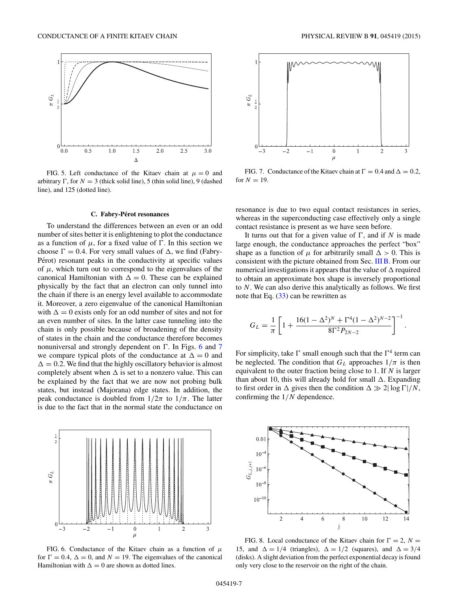<span id="page-6-0"></span>

FIG. 5. Left conductance of the Kitaev chain at  $\mu = 0$  and arbitrary  $\Gamma$ , for  $N = 3$  (thick solid line), 5 (thin solid line), 9 (dashed line), and 125 (dotted line).

# **C. Fabry-Perot resonances ´**

To understand the differences between an even or an odd number of sites better it is enlightening to plot the conductance as a function of  $\mu$ , for a fixed value of  $\Gamma$ . In this section we choose  $\Gamma = 0.4$ . For very small values of  $\Delta$ , we find (Fabry-Pérot) resonant peaks in the conductivity at specific values of  $\mu$ , which turn out to correspond to the eigenvalues of the canonical Hamiltonian with  $\Delta = 0$ . These can be explained physically by the fact that an electron can only tunnel into the chain if there is an energy level available to accommodate it. Moreover, a zero eigenvalue of the canonical Hamiltonian with  $\Delta = 0$  exists only for an odd number of sites and not for an even number of sites. In the latter case tunneling into the chain is only possible because of broadening of the density of states in the chain and the conductance therefore becomes nonuniversal and strongly dependent on  $\Gamma$ . In Figs. 6 and 7 we compare typical plots of the conductance at  $\Delta = 0$  and  $\Delta = 0.2$ . We find that the highly oscillatory behavior is almost completely absent when  $\Delta$  is set to a nonzero value. This can be explained by the fact that we are now not probing bulk states, but instead (Majorana) edge states. In addition, the peak conductance is doubled from  $1/2\pi$  to  $1/\pi$ . The latter is due to the fact that in the normal state the conductance on



FIG. 6. Conductance of the Kitaev chain as a function of *μ* for  $\Gamma = 0.4$ ,  $\Delta = 0$ , and  $N = 19$ . The eigenvalues of the canonical Hamiltonian with  $\Delta = 0$  are shown as dotted lines.



FIG. 7. Conductance of the Kitaev chain at  $\Gamma = 0.4$  and  $\Delta = 0.2$ , for  $N = 19$ .

resonance is due to two equal contact resistances in series, whereas in the superconducting case effectively only a single contact resistance is present as we have seen before.

It turns out that for a given value of  $\Gamma$ , and if *N* is made large enough, the conductance approaches the perfect "box" shape as a function of  $\mu$  for arbitrarily small  $\Delta > 0$ . This is consistent with the picture obtained from Sec. [III B.](#page-4-0) From our numerical investigations it appears that the value of  $\Delta$  required to obtain an approximate box shape is inversely proportional to *N*. We can also derive this analytically as follows. We first note that Eq.  $(33)$  can be rewritten as

$$
G_L = \frac{1}{\pi} \left[ 1 + \frac{16(1 - \Delta^2)^N + \Gamma^4 (1 - \Delta^2)^{N-2}}{8\Gamma^2 P_{2N-2}} \right]^{-1}.
$$

For simplicity, take  $\Gamma$  small enough such that the  $\Gamma^4$  term can be neglected. The condition that  $G_L$  approaches  $1/\pi$  is then equivalent to the outer fraction being close to 1. If *N* is larger than about 10, this will already hold for small  $\Delta$ . Expanding to first order in  $\Delta$  gives then the condition  $\Delta \gg 2|\log \Gamma|/N$ , confirming the 1*/N* dependence.



FIG. 8. Local conductance of the Kitaev chain for  $\Gamma = 2$ ,  $N =$ 15, and  $\Delta = 1/4$  (triangles),  $\Delta = 1/2$  (squares), and  $\Delta = 3/4$ (disks). A slight deviation from the perfect exponential decay is found only very close to the reservoir on the right of the chain.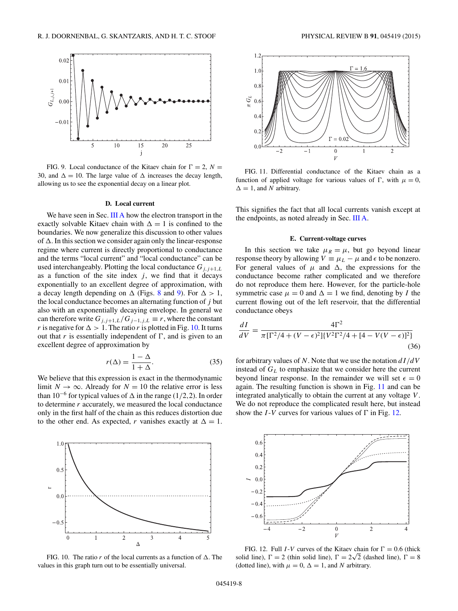<span id="page-7-0"></span>

FIG. 9. Local conductance of the Kitaev chain for  $\Gamma = 2$ ,  $N =$ 30, and  $\Delta = 10$ . The large value of  $\Delta$  increases the decay length, allowing us to see the exponential decay on a linear plot.

## **D. Local current**

We have seen in Sec. [III A](#page-4-0) how the electron transport in the exactly solvable Kitaev chain with  $\Delta = 1$  is confined to the boundaries. We now generalize this discussion to other values of  $\Delta$ . In this section we consider again only the linear-response regime where current is directly proportional to conductance and the terms "local current" and "local conductance" can be used interchangeably. Plotting the local conductance  $G_{i,j+1,L}$ as a function of the site index  $j$ , we find that it decays exponentially to an excellent degree of approximation, with a decay length depending on  $\Delta$  (Figs. [8](#page-6-0) and 9). For  $\Delta > 1$ , the local conductance becomes an alternating function of *j* but also with an exponentially decaying envelope. In general we can therefore write  $G_{j,j+1,L}/G_{j-1,j,L} \equiv r$ , where the constant *r* is negative for  $\Delta > 1$ . The ratio *r* is plotted in Fig. 10. It turns out that  $r$  is essentially independent of  $\Gamma$ , and is given to an excellent degree of approximation by

$$
r(\Delta) = \frac{1 - \Delta}{1 + \Delta}.\tag{35}
$$

We believe that this expression is exact in the thermodynamic limit  $N \to \infty$ . Already for  $N = 10$  the relative error is less than 10<sup>−</sup><sup>6</sup> for typical values of *-* in the range (1*/*2*,*2). In order to determine *r* accurately, we measured the local conductance only in the first half of the chain as this reduces distortion due to the other end. As expected, *r* vanishes exactly at  $\Delta = 1$ .



FIG. 10. The ratio  $r$  of the local currents as a function of  $\Delta$ . The values in this graph turn out to be essentially universal.



FIG. 11. Differential conductance of the Kitaev chain as a function of applied voltage for various values of  $\Gamma$ , with  $\mu = 0$ ,  $\Delta = 1$ , and *N* arbitrary.

This signifies the fact that all local currents vanish except at the endpoints, as noted already in Sec. [III A.](#page-4-0)

### **E. Current-voltage curves**

In this section we take  $\mu_R = \mu$ , but go beyond linear response theory by allowing  $V \equiv \mu_L - \mu$  and  $\epsilon$  to be nonzero. For general values of  $\mu$  and  $\Delta$ , the expressions for the conductance become rather complicated and we therefore do not reproduce them here. However, for the particle-hole symmetric case  $\mu = 0$  and  $\Delta = 1$  we find, denoting by *I* the current flowing out of the left reservoir, that the differential conductance obeys

$$
\frac{dI}{dV} = \frac{4\Gamma^2}{\pi \left[\Gamma^2/4 + (V - \epsilon)^2\right] \left\{V^2\Gamma^2/4 + [4 - V(V - \epsilon)]^2\right\}}\tag{36}
$$

for arbitrary values of *N*. Note that we use the notation *dI/dV* instead of  $G_L$  to emphasize that we consider here the current beyond linear response. In the remainder we will set  $\epsilon = 0$ again. The resulting function is shown in Fig. 11 and can be integrated analytically to obtain the current at any voltage *V* . We do not reproduce the complicated result here, but instead show the *I* -*V* curves for various values of  $\Gamma$  in Fig. 12.



FIG. 12. Full *I*-*V* curves of the Kitaev chain for  $\Gamma = 0.6$  (thick FIG. 12. Full 1-V curves of the Kitaev chain for  $1 = 0.6$  (the solid line),  $\Gamma = 2$  (thin solid line),  $\Gamma = 2\sqrt{2}$  (dashed line),  $\Gamma = 8$ (dotted line), with  $\mu = 0$ ,  $\Delta = 1$ , and *N* arbitrary.